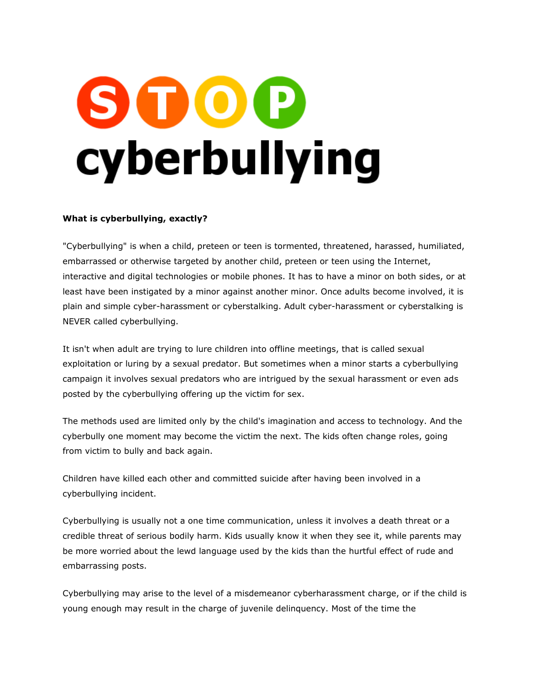# STOP cyberbullying

#### **What is cyberbullying, exactly?**

"Cyberbullying" is when a child, preteen or teen is tormented, threatened, harassed, humiliated, embarrassed or otherwise targeted by another child, preteen or teen using the Internet, interactive and digital technologies or mobile phones. It has to have a minor on both sides, or at least have been instigated by a minor against another minor. Once adults become involved, it is plain and simple cyber-harassment or cyberstalking. Adult cyber-harassment or cyberstalking is NEVER called cyberbullying.

It isn't when adult are trying to lure children into offline meetings, that is called sexual exploitation or luring by a sexual predator. But sometimes when a minor starts a cyberbullying campaign it involves sexual predators who are intrigued by the sexual harassment or even ads posted by the cyberbullying offering up the victim for sex.

The methods used are limited only by the child's imagination and access to technology. And the cyberbully one moment may become the victim the next. The kids often change roles, going from victim to bully and back again.

Children have killed each other and committed suicide after having been involved in a cyberbullying incident.

Cyberbullying is usually not a one time communication, unless it involves a death threat or a credible threat of serious bodily harm. Kids usually know it when they see it, while parents may be more worried about the lewd language used by the kids than the hurtful effect of rude and embarrassing posts.

Cyberbullying may arise to the level of a misdemeanor cyberharassment charge, or if the child is young enough may result in the charge of juvenile delinquency. Most of the time the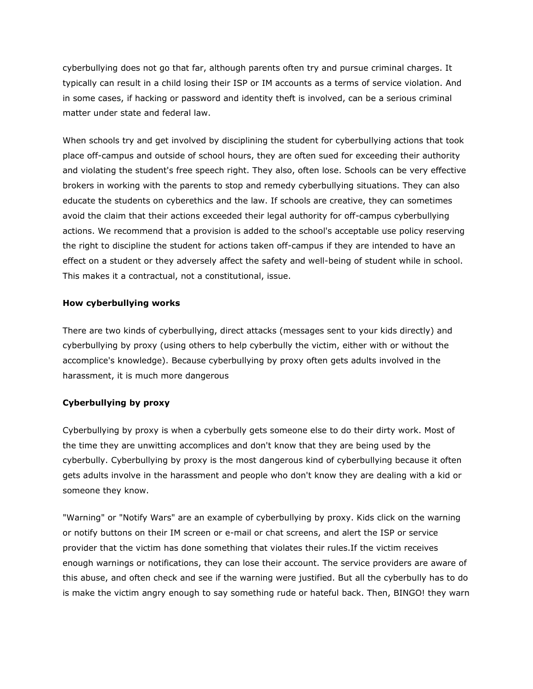cyberbullying does not go that far, although parents often try and pursue criminal charges. It typically can result in a child losing their ISP or IM accounts as a terms of service violation. And in some cases, if hacking or password and identity theft is involved, can be a serious criminal matter under state and federal law.

When schools try and get involved by disciplining the student for cyberbullying actions that took place off-campus and outside of school hours, they are often sued for exceeding their authority and violating the student's free speech right. They also, often lose. Schools can be very effective brokers in working with the parents to stop and remedy cyberbullying situations. They can also educate the students on cyberethics and the law. If schools are creative, they can sometimes avoid the claim that their actions exceeded their legal authority for off-campus cyberbullying actions. We recommend that a provision is added to the school's acceptable use policy reserving the right to discipline the student for actions taken off-campus if they are intended to have an effect on a student or they adversely affect the safety and well-being of student while in school. This makes it a contractual, not a constitutional, issue.

#### **How cyberbullying works**

There are two kinds of cyberbullying, direct attacks (messages sent to your kids directly) and cyberbullying by proxy (using others to help cyberbully the victim, either with or without the accomplice's knowledge). Because cyberbullying by proxy often gets adults involved in the harassment, it is much more dangerous

## **Cyberbullying by proxy**

Cyberbullying by proxy is when a cyberbully gets someone else to do their dirty work. Most of the time they are unwitting accomplices and don't know that they are being used by the cyberbully. Cyberbullying by proxy is the most dangerous kind of cyberbullying because it often gets adults involve in the harassment and people who don't know they are dealing with a kid or someone they know.

"Warning" or "Notify Wars" are an example of cyberbullying by proxy. Kids click on the warning or notify buttons on their IM screen or e-mail or chat screens, and alert the ISP or service provider that the victim has done something that violates their rules.If the victim receives enough warnings or notifications, they can lose their account. The service providers are aware of this abuse, and often check and see if the warning were justified. But all the cyberbully has to do is make the victim angry enough to say something rude or hateful back. Then, BINGO! they warn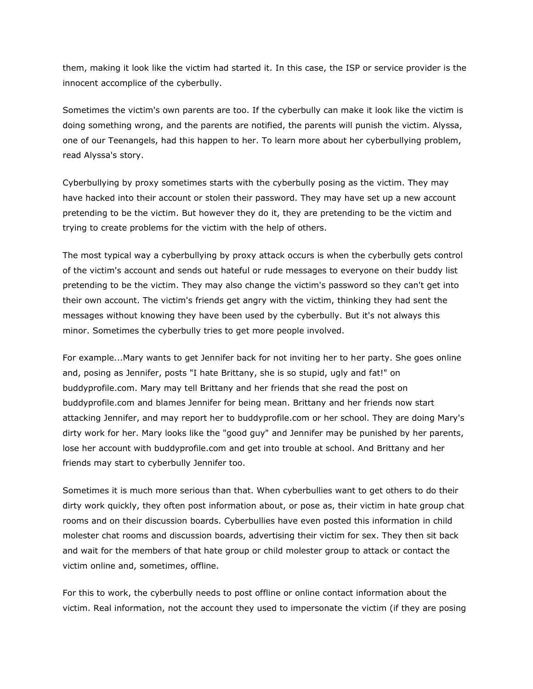them, making it look like the victim had started it. In this case, the ISP or service provider is the innocent accomplice of the cyberbully.

Sometimes the victim's own parents are too. If the cyberbully can make it look like the victim is doing something wrong, and the parents are notified, the parents will punish the victim. Alyssa, one of our Teenangels, had this happen to her. To learn more about her cyberbullying problem, read Alyssa's story.

Cyberbullying by proxy sometimes starts with the cyberbully posing as the victim. They may have hacked into their account or stolen their password. They may have set up a new account pretending to be the victim. But however they do it, they are pretending to be the victim and trying to create problems for the victim with the help of others.

The most typical way a cyberbullying by proxy attack occurs is when the cyberbully gets control of the victim's account and sends out hateful or rude messages to everyone on their buddy list pretending to be the victim. They may also change the victim's password so they can't get into their own account. The victim's friends get angry with the victim, thinking they had sent the messages without knowing they have been used by the cyberbully. But it's not always this minor. Sometimes the cyberbully tries to get more people involved.

For example...Mary wants to get Jennifer back for not inviting her to her party. She goes online and, posing as Jennifer, posts "I hate Brittany, she is so stupid, ugly and fat!" on buddyprofile.com. Mary may tell Brittany and her friends that she read the post on buddyprofile.com and blames Jennifer for being mean. Brittany and her friends now start attacking Jennifer, and may report her to buddyprofile.com or her school. They are doing Mary's dirty work for her. Mary looks like the "good guy" and Jennifer may be punished by her parents, lose her account with buddyprofile.com and get into trouble at school. And Brittany and her friends may start to cyberbully Jennifer too.

Sometimes it is much more serious than that. When cyberbullies want to get others to do their dirty work quickly, they often post information about, or pose as, their victim in hate group chat rooms and on their discussion boards. Cyberbullies have even posted this information in child molester chat rooms and discussion boards, advertising their victim for sex. They then sit back and wait for the members of that hate group or child molester group to attack or contact the victim online and, sometimes, offline.

For this to work, the cyberbully needs to post offline or online contact information about the victim. Real information, not the account they used to impersonate the victim (if they are posing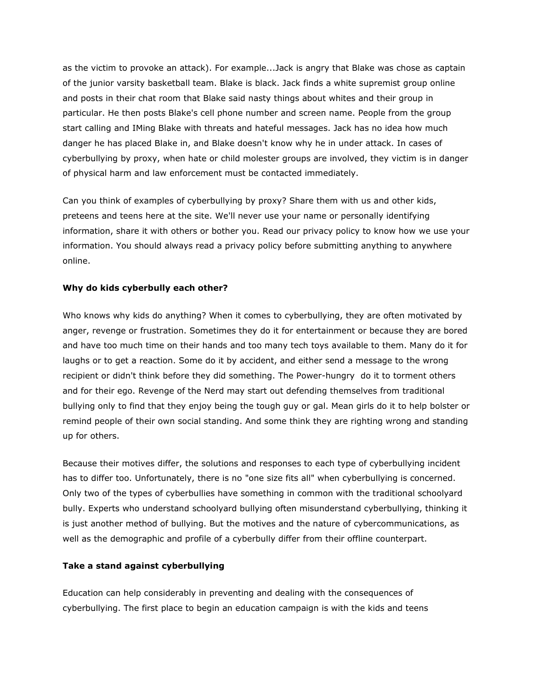as the victim to provoke an attack). For example...Jack is angry that Blake was chose as captain of the junior varsity basketball team. Blake is black. Jack finds a white supremist group online and posts in their chat room that Blake said nasty things about whites and their group in particular. He then posts Blake's cell phone number and screen name. People from the group start calling and IMing Blake with threats and hateful messages. Jack has no idea how much danger he has placed Blake in, and Blake doesn't know why he in under attack. In cases of cyberbullying by proxy, when hate or child molester groups are involved, they victim is in danger of physical harm and law enforcement must be contacted immediately.

Can you think of examples of cyberbullying by proxy? Share them with us and other kids, preteens and teens here at the site. We'll never use your name or personally identifying information, share it with others or bother you. Read our privacy policy to know how we use your information. You should always read a privacy policy before submitting anything to anywhere online.

#### **Why do kids cyberbully each other?**

Who knows why kids do anything? When it comes to cyberbullying, they are often motivated by anger, revenge or frustration. Sometimes they do it for entertainment or because they are bored and have too much time on their hands and too many tech toys available to them. Many do it for laughs or to get a reaction. Some do it by accident, and either send a message to the wrong recipient or didn't think before they did something. The Power-hungry do it to torment others and for their ego. Revenge of the Nerd may start out defending themselves from traditional bullying only to find that they enjoy being the tough guy or gal. Mean girls do it to help bolster or remind people of their own social standing. And some think they are righting wrong and standing up for others.

Because their motives differ, the solutions and responses to each type of cyberbullying incident has to differ too. Unfortunately, there is no "one size fits all" when cyberbullying is concerned. Only two of the types of cyberbullies have something in common with the traditional schoolyard bully. Experts who understand schoolyard bullying often misunderstand cyberbullying, thinking it is just another method of bullying. But the motives and the nature of cybercommunications, as well as the demographic and profile of a cyberbully differ from their offline counterpart.

#### **Take a stand against cyberbullying**

Education can help considerably in preventing and dealing with the consequences of cyberbullying. The first place to begin an education campaign is with the kids and teens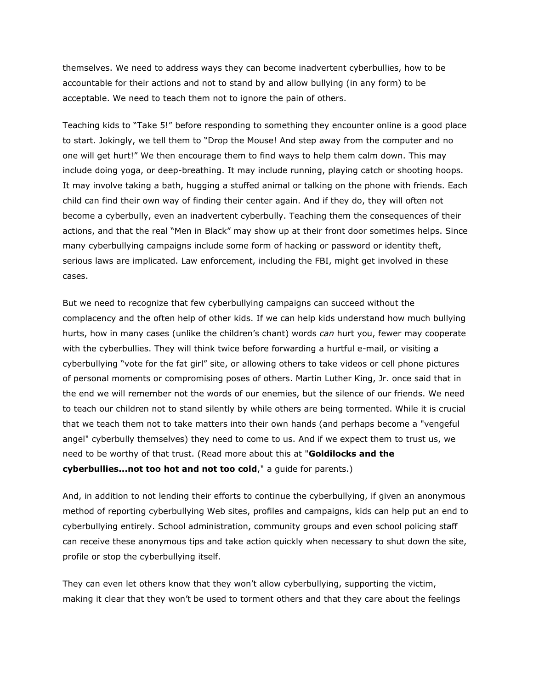themselves. We need to address ways they can become inadvertent cyberbullies, how to be accountable for their actions and not to stand by and allow bullying (in any form) to be acceptable. We need to teach them not to ignore the pain of others.

Teaching kids to "Take 5!" before responding to something they encounter online is a good place to start. Jokingly, we tell them to "Drop the Mouse! And step away from the computer and no one will get hurt!‖ We then encourage them to find ways to help them calm down. This may include doing yoga, or deep-breathing. It may include running, playing catch or shooting hoops. It may involve taking a bath, hugging a stuffed animal or talking on the phone with friends. Each child can find their own way of finding their center again. And if they do, they will often not become a cyberbully, even an inadvertent cyberbully. Teaching them the consequences of their actions, and that the real "Men in Black" may show up at their front door sometimes helps. Since many cyberbullying campaigns include some form of hacking or password or identity theft, serious laws are implicated. Law enforcement, including the FBI, might get involved in these cases.

But we need to recognize that few cyberbullying campaigns can succeed without the complacency and the often help of other kids. If we can help kids understand how much bullying hurts, how in many cases (unlike the children's chant) words *can* hurt you, fewer may cooperate with the cyberbullies. They will think twice before forwarding a hurtful e-mail, or visiting a cyberbullying "vote for the fat girl" site, or allowing others to take videos or cell phone pictures of personal moments or compromising poses of others. Martin Luther King, Jr. once said that in the end we will remember not the words of our enemies, but the silence of our friends. We need to teach our children not to stand silently by while others are being tormented. While it is crucial that we teach them not to take matters into their own hands (and perhaps become a "vengeful angel" cyberbully themselves) they need to come to us. And if we expect them to trust us, we need to be worthy of that trust. (Read more about this at "**[Goldilocks and the](http://www.stopcyberbullying.org/parents/goldilocks.html)  [cyberbullies...not too hot and not too cold](http://www.stopcyberbullying.org/parents/goldilocks.html)**," a guide for parents.)

And, in addition to not lending their efforts to continue the cyberbullying, if given an anonymous method of reporting cyberbullying Web sites, profiles and campaigns, kids can help put an end to cyberbullying entirely. School administration, community groups and even school policing staff can receive these anonymous tips and take action quickly when necessary to shut down the site, profile or stop the cyberbullying itself.

They can even let others know that they won't allow cyberbullying, supporting the victim, making it clear that they won't be used to torment others and that they care about the feelings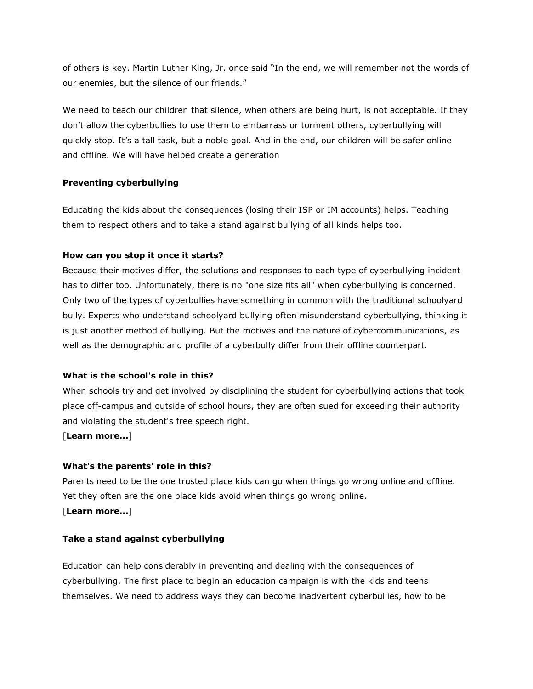of others is key. Martin Luther King, Jr. once said "In the end, we will remember not the words of our enemies, but the silence of our friends."

We need to teach our children that silence, when others are being hurt, is not acceptable. If they don't allow the cyberbullies to use them to embarrass or torment others, cyberbullying will quickly stop. It's a tall task, but a noble goal. And in the end, our children will be safer online and offline. We will have helped create a generation

## **Preventing cyberbullying**

Educating the kids about the consequences (losing their ISP or IM accounts) helps. Teaching them to respect others and to take a stand against bullying of all kinds helps too.

#### **How can you stop it once it starts?**

Because their motives differ, the solutions and responses to each type of cyberbullying incident has to differ too. Unfortunately, there is no "one size fits all" when cyberbullying is concerned. Only two of the types of cyberbullies have something in common with the traditional schoolyard bully. Experts who understand schoolyard bullying often misunderstand cyberbullying, thinking it is just another method of bullying. But the motives and the nature of cybercommunications, as well as the demographic and profile of a cyberbully differ from their offline counterpart.

## **What is the school's role in this?**

When schools try and get involved by disciplining the student for cyberbullying actions that took place off-campus and outside of school hours, they are often sued for exceeding their authority and violating the student's free speech right.

[**[Learn more...](http://www.stopcyberbullying.org/prevention/schools_role.html)**]

#### **What's the parents' role in this?**

Parents need to be the one trusted place kids can go when things go wrong online and offline. Yet they often are the one place kids avoid when things go wrong online. [**[Learn more...](http://www.stopcyberbullying.org/prevention/parents_role.html)**]

#### **Take a stand against cyberbullying**

Education can help considerably in preventing and dealing with the consequences of cyberbullying. The first place to begin an education campaign is with the kids and teens themselves. We need to address ways they can become inadvertent cyberbullies, how to be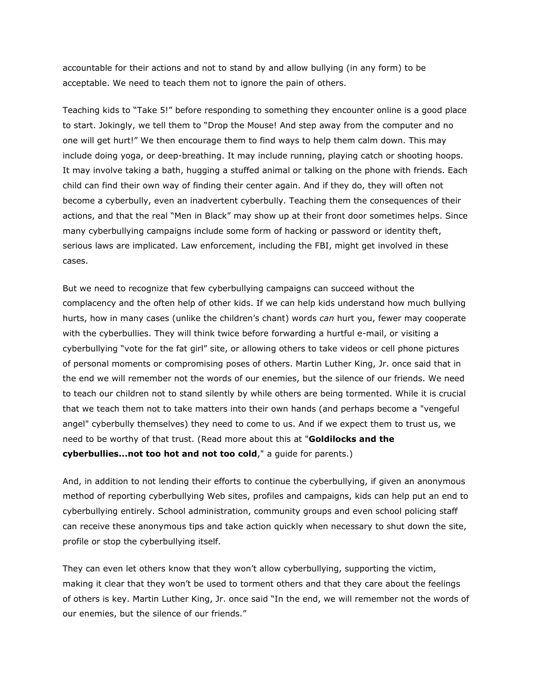accountable for their actions and not to stand by and allow bullying (in any form) to be acceptable. We need to teach them not to ignore the pain of others.

Teaching kids to "Take 5!" before responding to something they encounter online is a good place to start. Jokingly, we tell them to "Drop the Mouse! And step away from the computer and no one will get hurt!" We then encourage them to find ways to help them calm down. This may include doing yoga, or deep-breathing. It may include running, playing catch or shooting hoops. It may involve taking a bath, hugging a stuffed animal or talking on the phone with friends. Each child can find their own way of finding their center again. And if they do, they will often not become a cyberbully, even an inadvertent cyberbully. Teaching them the consequences of their actions, and that the real "Men in Black" may show up at their front door sometimes helps. Since many cyberbullying campaigns include some form of hacking or password or identity theft, serious laws are implicated. Law enforcement, including the FBI, might get involved in these cases.

But we need to recognize that few cyberbullying campaigns can succeed without the complacency and the often help of other kids. If we can help kids understand how much bullying hurts, how in many cases (unlike the children's chant) words *can* hurt you, fewer may cooperate with the cyberbullies. They will think twice before forwarding a hurtful e-mail, or visiting a cyberbullying "vote for the fat girl" site, or allowing others to take videos or cell phone pictures of personal moments or compromising poses of others. Martin Luther King, Jr. once said that in the end we will remember not the words of our enemies, but the silence of our friends. We need to teach our children not to stand silently by while others are being tormented. While it is crucial that we teach them not to take matters into their own hands (and perhaps become a "vengeful angel" cyberbully themselves) they need to come to us. And if we expect them to trust us, we need to be worthy of that trust. (Read more about this at "**[Goldilocks and the](http://www.stopcyberbullying.org/parents/goldilocks.html)  [cyberbullies...not too hot and not too cold](http://www.stopcyberbullying.org/parents/goldilocks.html)**," a guide for parents.)

And, in addition to not lending their efforts to continue the cyberbullying, if given an anonymous method of reporting cyberbullying Web sites, profiles and campaigns, kids can help put an end to cyberbullying entirely. School administration, community groups and even school policing staff can receive these anonymous tips and take action quickly when necessary to shut down the site, profile or stop the cyberbullying itself.

They can even let others know that they won't allow cyberbullying, supporting the victim, making it clear that they won't be used to torment others and that they care about the feelings of others is key. Martin Luther King, Jr. once said "In the end, we will remember not the words of our enemies, but the silence of our friends."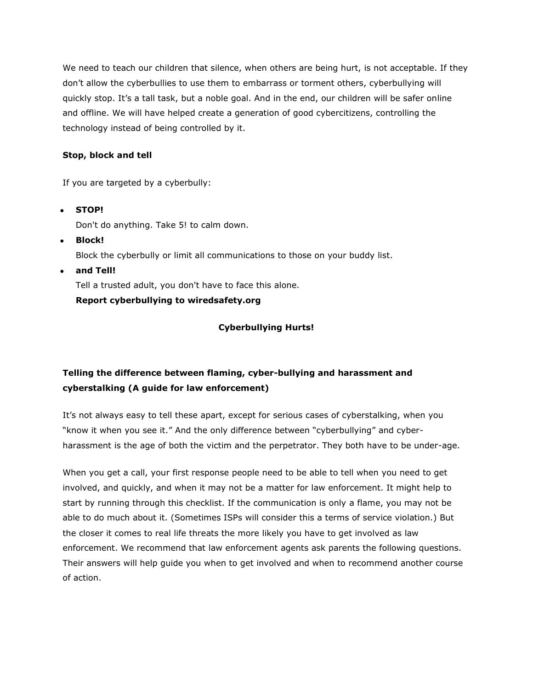We need to teach our children that silence, when others are being hurt, is not acceptable. If they don't allow the cyberbullies to use them to embarrass or torment others, cyberbullying will quickly stop. It's a tall task, but a noble goal. And in the end, our children will be safer online and offline. We will have helped create a generation of good cybercitizens, controlling the technology instead of being controlled by it.

#### **Stop, block and tell**

If you are targeted by a cyberbully:

- **STOP!** Don't do anything. Take 5! to calm down. **Block!** Block the cyberbully or limit all communications to those on your buddy list.
- **and Tell!** Tell a trusted adult, you don't have to face this alone. **[Report cyberbullying to wiredsafety.org](https://www.wiredsafety.org/forms/stalking.html)**

## **Cyberbullying Hurts!**

# **Telling the difference between flaming, cyber-bullying and harassment and cyberstalking (A guide for law enforcement)**

It's not always easy to tell these apart, except for serious cases of cyberstalking, when you "know it when you see it." And the only difference between "cyberbullying" and cyberharassment is the age of both the victim and the perpetrator. They both have to be under-age.

When you get a call, your first response people need to be able to tell when you need to get involved, and quickly, and when it may not be a matter for law enforcement. It might help to start by running through this checklist. If the communication is only a flame, you may not be able to do much about it. (Sometimes ISPs will consider this a terms of service violation.) But the closer it comes to real life threats the more likely you have to get involved as law enforcement. We recommend that law enforcement agents ask parents the following questions. Their answers will help guide you when to get involved and when to recommend another course of action.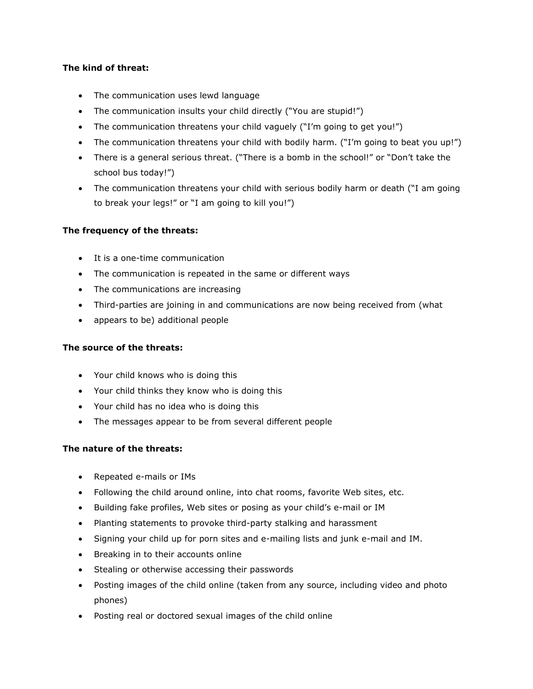### **The kind of threat:**

- The communication uses lewd language
- The communication insults your child directly ("You are stupid!")
- The communication threatens your child vaguely ("I'm going to get you!")
- The communication threatens your child with bodily harm. ("I'm going to beat you up!")
- There is a general serious threat. ("There is a bomb in the school!" or "Don't take the school bus today!‖)
- The communication threatens your child with serious bodily harm or death ("I am going to break your legs!" or "I am going to kill you!")

#### **The frequency of the threats:**

- It is a one-time communication
- The communication is repeated in the same or different ways
- The communications are increasing
- Third-parties are joining in and communications are now being received from (what
- appears to be) additional people

#### **The source of the threats:**

- Your child knows who is doing this
- Your child thinks they know who is doing this
- Your child has no idea who is doing this
- The messages appear to be from several different people

#### **The nature of the threats:**

- Repeated e-mails or IMs
- Following the child around online, into chat rooms, favorite Web sites, etc.
- Building fake profiles, Web sites or posing as your child's e-mail or IM
- Planting statements to provoke third-party stalking and harassment
- Signing your child up for porn sites and e-mailing lists and junk e-mail and IM.
- Breaking in to their accounts online
- Stealing or otherwise accessing their passwords
- Posting images of the child online (taken from any source, including video and photo phones)
- Posting real or doctored sexual images of the child online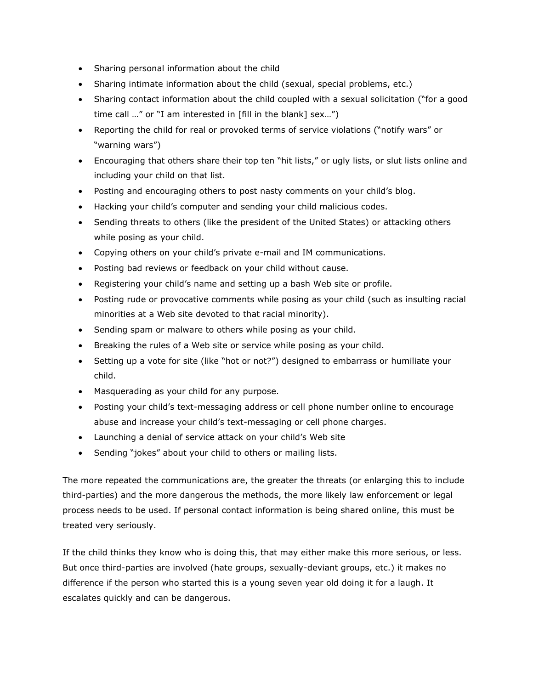- Sharing personal information about the child
- Sharing intimate information about the child (sexual, special problems, etc.)
- Sharing contact information about the child coupled with a sexual solicitation ("for a good time call ..." or "I am interested in [fill in the blank] sex...")
- Reporting the child for real or provoked terms of service violations ("notify wars" or "warning wars")
- Encouraging that others share their top ten "hit lists," or ugly lists, or slut lists online and including your child on that list.
- Posting and encouraging others to post nasty comments on your child's blog.
- Hacking your child's computer and sending your child malicious codes.
- Sending threats to others (like the president of the United States) or attacking others while posing as your child.
- Copying others on your child's private e-mail and IM communications.
- Posting bad reviews or feedback on your child without cause.
- Registering your child's name and setting up a bash Web site or profile.
- Posting rude or provocative comments while posing as your child (such as insulting racial minorities at a Web site devoted to that racial minority).
- Sending spam or malware to others while posing as your child.
- Breaking the rules of a Web site or service while posing as your child.
- Setting up a vote for site (like "hot or not?") designed to embarrass or humiliate your child.
- Masquerading as your child for any purpose.
- Posting your child's text-messaging address or cell phone number online to encourage abuse and increase your child's text-messaging or cell phone charges.
- Launching a denial of service attack on your child's Web site
- Sending "jokes" about your child to others or mailing lists.

The more repeated the communications are, the greater the threats (or enlarging this to include third-parties) and the more dangerous the methods, the more likely law enforcement or legal process needs to be used. If personal contact information is being shared online, this must be treated very seriously.

If the child thinks they know who is doing this, that may either make this more serious, or less. But once third-parties are involved (hate groups, sexually-deviant groups, etc.) it makes no difference if the person who started this is a young seven year old doing it for a laugh. It escalates quickly and can be dangerous.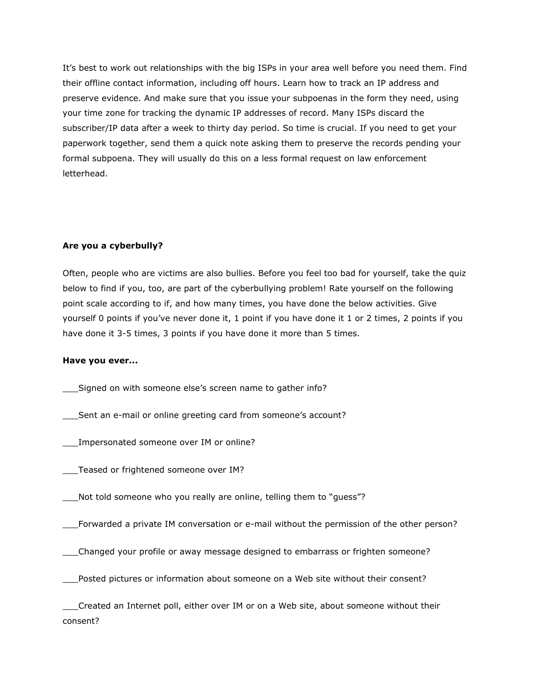It's best to work out relationships with the big ISPs in your area well before you need them. Find their offline contact information, including off hours. Learn how to track an IP address and preserve evidence. And make sure that you issue your subpoenas in the form they need, using your time zone for tracking the dynamic IP addresses of record. Many ISPs discard the subscriber/IP data after a week to thirty day period. So time is crucial. If you need to get your paperwork together, send them a quick note asking them to preserve the records pending your formal subpoena. They will usually do this on a less formal request on law enforcement letterhead.

#### **Are you a cyberbully?**

Often, people who are victims are also bullies. Before you feel too bad for yourself, take the quiz below to find if you, too, are part of the cyberbullying problem! Rate yourself on the following point scale according to if, and how many times, you have done the below activities. Give yourself 0 points if you've never done it, 1 point if you have done it 1 or 2 times, 2 points if you have done it 3-5 times, 3 points if you have done it more than 5 times.

#### **Have you ever...**

\_\_\_Signed on with someone else's screen name to gather info?

\_\_\_Sent an e-mail or online greeting card from someone's account?

\_\_\_Impersonated someone over IM or online?

\_\_\_Teased or frightened someone over IM?

Lattuded Someone who you really are online, telling them to "guess"?

\_\_\_Forwarded a private IM conversation or e-mail without the permission of the other person?

\_\_\_Changed your profile or away message designed to embarrass or frighten someone?

\_\_\_Posted pictures or information about someone on a Web site without their consent?

\_\_\_Created an Internet poll, either over IM or on a Web site, about someone without their consent?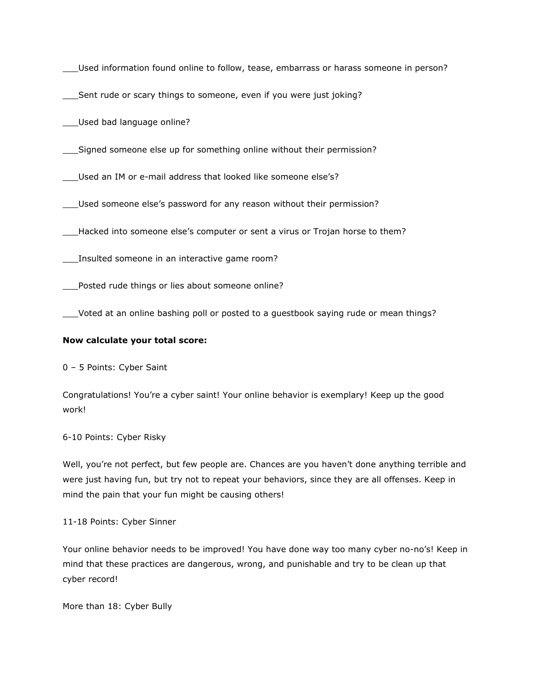\_\_\_Used information found online to follow, tease, embarrass or harass someone in person?

\_\_\_Sent rude or scary things to someone, even if you were just joking?

\_\_\_Used bad language online?

Signed someone else up for something online without their permission?

\_\_\_Used an IM or e-mail address that looked like someone else's?

\_\_\_Used someone else's password for any reason without their permission?

Hacked into someone else's computer or sent a virus or Trojan horse to them?

\_\_\_Insulted someone in an interactive game room?

\_\_\_Posted rude things or lies about someone online?

\_\_\_Voted at an online bashing poll or posted to a guestbook saying rude or mean things?

#### **Now calculate your total score:**

0 – 5 Points: Cyber Saint

Congratulations! You're a cyber saint! Your online behavior is exemplary! Keep up the good work!

6-10 Points: Cyber Risky

Well, you're not perfect, but few people are. Chances are you haven't done anything terrible and were just having fun, but try not to repeat your behaviors, since they are all offenses. Keep in mind the pain that your fun might be causing others!

11-18 Points: Cyber Sinner

Your online behavior needs to be improved! You have done way too many cyber no-no's! Keep in mind that these practices are dangerous, wrong, and punishable and try to be clean up that cyber record!

More than 18: Cyber Bully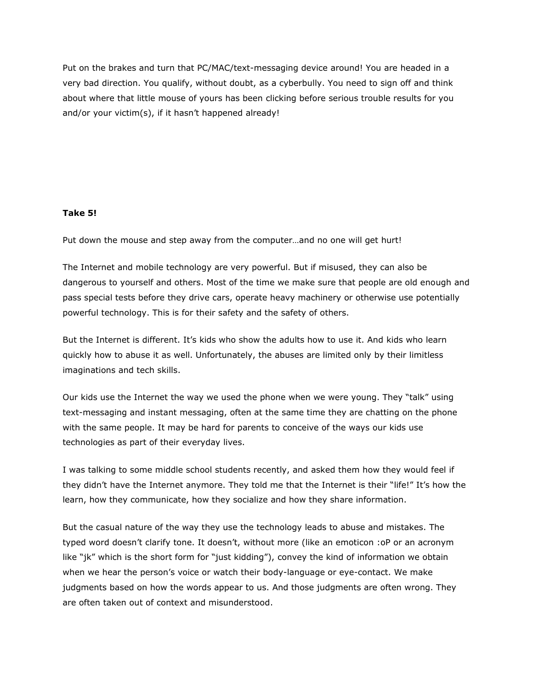Put on the brakes and turn that PC/MAC/text-messaging device around! You are headed in a very bad direction. You qualify, without doubt, as a cyberbully. You need to sign off and think about where that little mouse of yours has been clicking before serious trouble results for you and/or your victim(s), if it hasn't happened already!

#### **Take 5!**

Put down the mouse and step away from the computer…and no one will get hurt!

The Internet and mobile technology are very powerful. But if misused, they can also be dangerous to yourself and others. Most of the time we make sure that people are old enough and pass special tests before they drive cars, operate heavy machinery or otherwise use potentially powerful technology. This is for their safety and the safety of others.

But the Internet is different. It's kids who show the adults how to use it. And kids who learn quickly how to abuse it as well. Unfortunately, the abuses are limited only by their limitless imaginations and tech skills.

Our kids use the Internet the way we used the phone when we were young. They "talk" using text-messaging and instant messaging, often at the same time they are chatting on the phone with the same people. It may be hard for parents to conceive of the ways our kids use technologies as part of their everyday lives.

I was talking to some middle school students recently, and asked them how they would feel if they didn't have the Internet anymore. They told me that the Internet is their "life!" It's how the learn, how they communicate, how they socialize and how they share information.

But the casual nature of the way they use the technology leads to abuse and mistakes. The typed word doesn't clarify tone. It doesn't, without more (like an emoticon :oP or an acronym like "jk" which is the short form for "just kidding"), convey the kind of information we obtain when we hear the person's voice or watch their body-language or eye-contact. We make judgments based on how the words appear to us. And those judgments are often wrong. They are often taken out of context and misunderstood.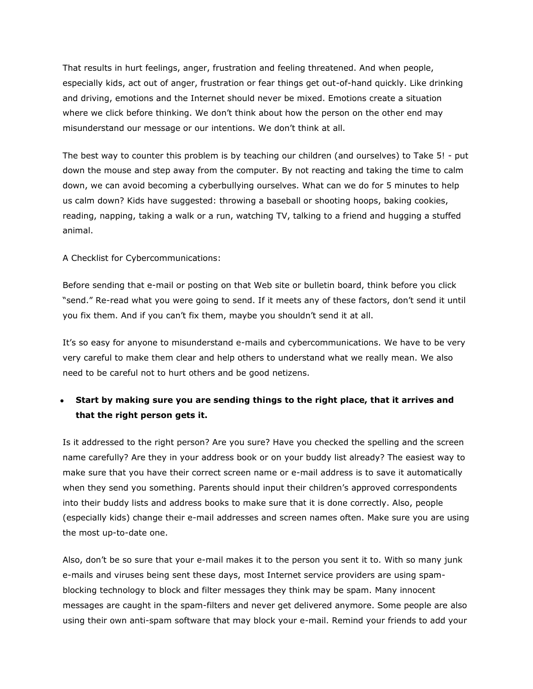That results in hurt feelings, anger, frustration and feeling threatened. And when people, especially kids, act out of anger, frustration or fear things get out-of-hand quickly. Like drinking and driving, emotions and the Internet should never be mixed. Emotions create a situation where we click before thinking. We don't think about how the person on the other end may misunderstand our message or our intentions. We don't think at all.

The best way to counter this problem is by teaching our children (and ourselves) to Take 5! - put down the mouse and step away from the computer. By not reacting and taking the time to calm down, we can avoid becoming a cyberbullying ourselves. What can we do for 5 minutes to help us calm down? Kids have suggested: throwing a baseball or shooting hoops, baking cookies, reading, napping, taking a walk or a run, watching TV, talking to a friend and hugging a stuffed animal.

#### A Checklist for Cybercommunications:

Before sending that e-mail or posting on that Web site or bulletin board, think before you click "send." Re-read what you were going to send. If it meets any of these factors, don't send it until you fix them. And if you can't fix them, maybe you shouldn't send it at all.

It's so easy for anyone to misunderstand e-mails and cybercommunications. We have to be very very careful to make them clear and help others to understand what we really mean. We also need to be careful not to hurt others and be good netizens.

# **Start by making sure you are sending things to the right place, that it arrives and that the right person gets it.**

Is it addressed to the right person? Are you sure? Have you checked the spelling and the screen name carefully? Are they in your address book or on your buddy list already? The easiest way to make sure that you have their correct screen name or e-mail address is to save it automatically when they send you something. Parents should input their children's approved correspondents into their buddy lists and address books to make sure that it is done correctly. Also, people (especially kids) change their e-mail addresses and screen names often. Make sure you are using the most up-to-date one.

Also, don't be so sure that your e-mail makes it to the person you sent it to. With so many junk e-mails and viruses being sent these days, most Internet service providers are using spamblocking technology to block and filter messages they think may be spam. Many innocent messages are caught in the spam-filters and never get delivered anymore. Some people are also using their own anti-spam software that may block your e-mail. Remind your friends to add your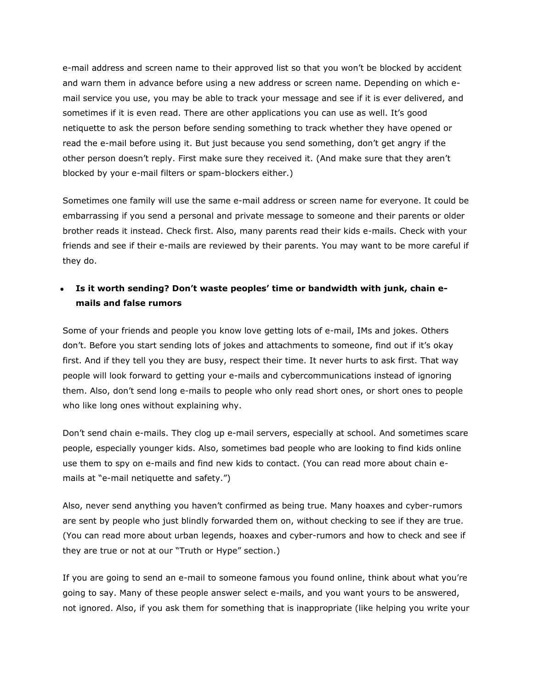e-mail address and screen name to their approved list so that you won't be blocked by accident and warn them in advance before using a new address or screen name. Depending on which email service you use, you may be able to track your message and see if it is ever delivered, and sometimes if it is even read. There are other applications you can use as well. It's good netiquette to ask the person before sending something to track whether they have opened or read the e-mail before using it. But just because you send something, don't get angry if the other person doesn't reply. First make sure they received it. (And make sure that they aren't blocked by your e-mail filters or spam-blockers either.)

Sometimes one family will use the same e-mail address or screen name for everyone. It could be embarrassing if you send a personal and private message to someone and their parents or older brother reads it instead. Check first. Also, many parents read their kids e-mails. Check with your friends and see if their e-mails are reviewed by their parents. You may want to be more careful if they do.

# **Is it worth sending? Don't waste peoples' time or bandwidth with junk, chain emails and false rumors**

Some of your friends and people you know love getting lots of e-mail, IMs and jokes. Others don't. Before you start sending lots of jokes and attachments to someone, find out if it's okay first. And if they tell you they are busy, respect their time. It never hurts to ask first. That way people will look forward to getting your e-mails and cybercommunications instead of ignoring them. Also, don't send long e-mails to people who only read short ones, or short ones to people who like long ones without explaining why.

Don't send chain e-mails. They clog up e-mail servers, especially at school. And sometimes scare people, especially younger kids. Also, sometimes bad people who are looking to find kids online use them to spy on e-mails and find new kids to contact. (You can read more about chain emails at "e-mail netiquette and safety.")

Also, never send anything you haven't confirmed as being true. Many hoaxes and cyber-rumors are sent by people who just blindly forwarded them on, without checking to see if they are true. (You can read more about urban legends, hoaxes and cyber-rumors and how to check and see if they are true or not at our "Truth or Hype" section.)

If you are going to send an e-mail to someone famous you found online, think about what you're going to say. Many of these people answer select e-mails, and you want yours to be answered, not ignored. Also, if you ask them for something that is inappropriate (like helping you write your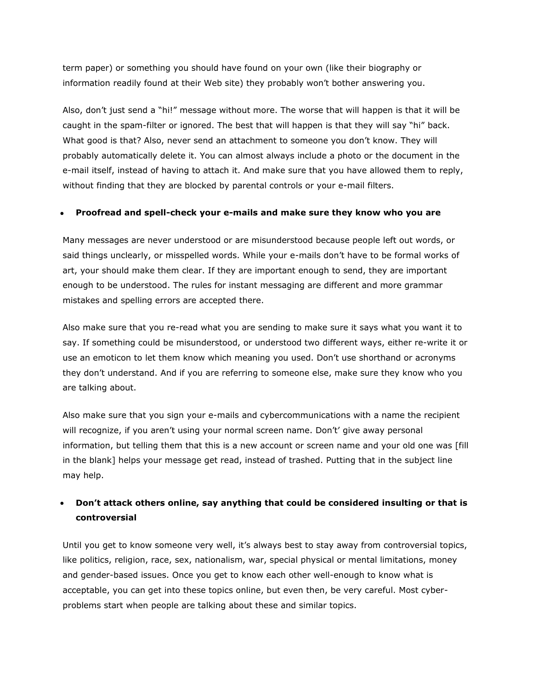term paper) or something you should have found on your own (like their biography or information readily found at their Web site) they probably won't bother answering you.

Also, don't just send a "hi!" message without more. The worse that will happen is that it will be caught in the spam-filter or ignored. The best that will happen is that they will say "hi" back. What good is that? Also, never send an attachment to someone you don't know. They will probably automatically delete it. You can almost always include a photo or the document in the e-mail itself, instead of having to attach it. And make sure that you have allowed them to reply, without finding that they are blocked by parental controls or your e-mail filters.

#### **Proofread and spell-check your e-mails and make sure they know who you are**

Many messages are never understood or are misunderstood because people left out words, or said things unclearly, or misspelled words. While your e-mails don't have to be formal works of art, your should make them clear. If they are important enough to send, they are important enough to be understood. The rules for instant messaging are different and more grammar mistakes and spelling errors are accepted there.

Also make sure that you re-read what you are sending to make sure it says what you want it to say. If something could be misunderstood, or understood two different ways, either re-write it or use an emoticon to let them know which meaning you used. Don't use shorthand or acronyms they don't understand. And if you are referring to someone else, make sure they know who you are talking about.

Also make sure that you sign your e-mails and cybercommunications with a name the recipient will recognize, if you aren't using your normal screen name. Don't' give away personal information, but telling them that this is a new account or screen name and your old one was [fill in the blank] helps your message get read, instead of trashed. Putting that in the subject line may help.

# **Don't attack others online, say anything that could be considered insulting or that is controversial**

Until you get to know someone very well, it's always best to stay away from controversial topics, like politics, religion, race, sex, nationalism, war, special physical or mental limitations, money and gender-based issues. Once you get to know each other well-enough to know what is acceptable, you can get into these topics online, but even then, be very careful. Most cyberproblems start when people are talking about these and similar topics.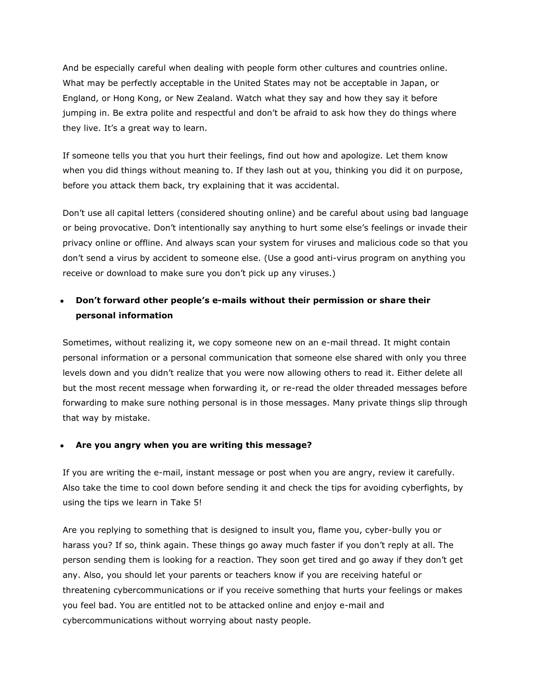And be especially careful when dealing with people form other cultures and countries online. What may be perfectly acceptable in the United States may not be acceptable in Japan, or England, or Hong Kong, or New Zealand. Watch what they say and how they say it before jumping in. Be extra polite and respectful and don't be afraid to ask how they do things where they live. It's a great way to learn.

If someone tells you that you hurt their feelings, find out how and apologize. Let them know when you did things without meaning to. If they lash out at you, thinking you did it on purpose, before you attack them back, try explaining that it was accidental.

Don't use all capital letters (considered shouting online) and be careful about using bad language or being provocative. Don't intentionally say anything to hurt some else's feelings or invade their privacy online or offline. And always scan your system for viruses and malicious code so that you don't send a virus by accident to someone else. (Use a good anti-virus program on anything you receive or download to make sure you don't pick up any viruses.)

# **Don't forward other people's e-mails without their permission or share their personal information**

Sometimes, without realizing it, we copy someone new on an e-mail thread. It might contain personal information or a personal communication that someone else shared with only you three levels down and you didn't realize that you were now allowing others to read it. Either delete all but the most recent message when forwarding it, or re-read the older threaded messages before forwarding to make sure nothing personal is in those messages. Many private things slip through that way by mistake.

#### **Are you angry when you are writing this message?**

If you are writing the e-mail, instant message or post when you are angry, review it carefully. Also take the time to cool down before sending it and check the tips for avoiding cyberfights, by using the tips we learn in Take 5!

Are you replying to something that is designed to insult you, flame you, cyber-bully you or harass you? If so, think again. These things go away much faster if you don't reply at all. The person sending them is looking for a reaction. They soon get tired and go away if they don't get any. Also, you should let your parents or teachers know if you are receiving hateful or threatening cybercommunications or if you receive something that hurts your feelings or makes you feel bad. You are entitled not to be attacked online and enjoy e-mail and cybercommunications without worrying about nasty people.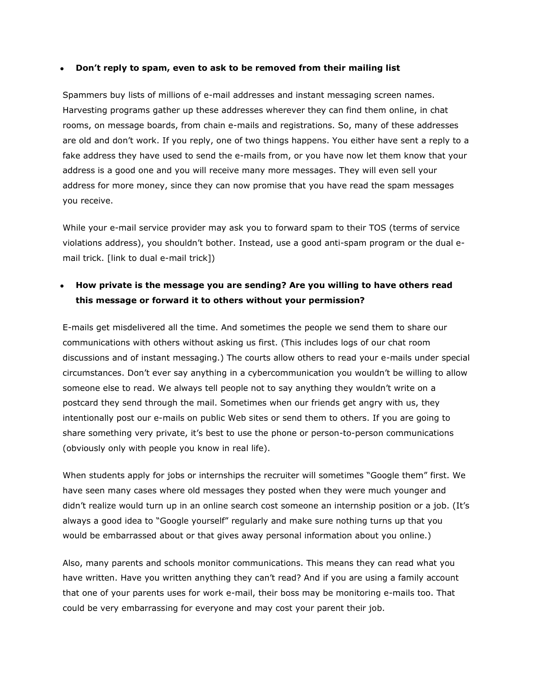#### **Don't reply to spam, even to ask to be removed from their mailing list**

Spammers buy lists of millions of e-mail addresses and instant messaging screen names. Harvesting programs gather up these addresses wherever they can find them online, in chat rooms, on message boards, from chain e-mails and registrations. So, many of these addresses are old and don't work. If you reply, one of two things happens. You either have sent a reply to a fake address they have used to send the e-mails from, or you have now let them know that your address is a good one and you will receive many more messages. They will even sell your address for more money, since they can now promise that you have read the spam messages you receive.

While your e-mail service provider may ask you to forward spam to their TOS (terms of service violations address), you shouldn't bother. Instead, use a good anti-spam program or the dual email trick. [link to dual e-mail trick])

# **How private is the message you are sending? Are you willing to have others read this message or forward it to others without your permission?**

E-mails get misdelivered all the time. And sometimes the people we send them to share our communications with others without asking us first. (This includes logs of our chat room discussions and of instant messaging.) The courts allow others to read your e-mails under special circumstances. Don't ever say anything in a cybercommunication you wouldn't be willing to allow someone else to read. We always tell people not to say anything they wouldn't write on a postcard they send through the mail. Sometimes when our friends get angry with us, they intentionally post our e-mails on public Web sites or send them to others. If you are going to share something very private, it's best to use the phone or person-to-person communications (obviously only with people you know in real life).

When students apply for jobs or internships the recruiter will sometimes "Google them" first. We have seen many cases where old messages they posted when they were much younger and didn't realize would turn up in an online search cost someone an internship position or a job. (It's always a good idea to "Google yourself" regularly and make sure nothing turns up that you would be embarrassed about or that gives away personal information about you online.)

Also, many parents and schools monitor communications. This means they can read what you have written. Have you written anything they can't read? And if you are using a family account that one of your parents uses for work e-mail, their boss may be monitoring e-mails too. That could be very embarrassing for everyone and may cost your parent their job.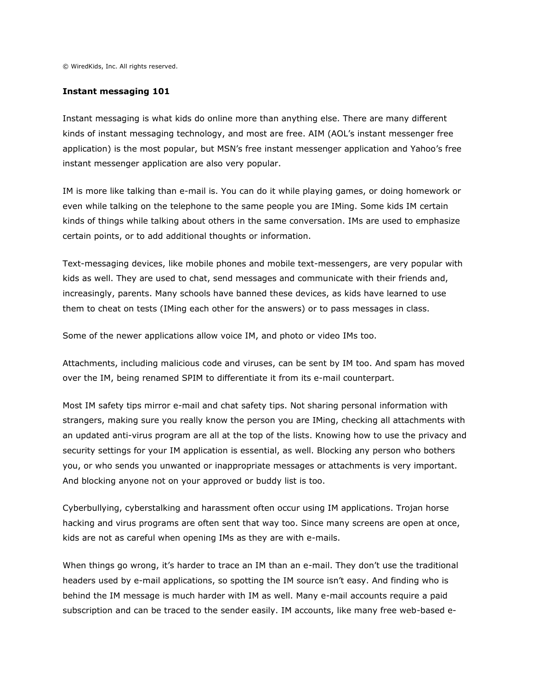© WiredKids, Inc. All rights reserved.

#### **Instant messaging 101**

Instant messaging is what kids do online more than anything else. There are many different kinds of instant messaging technology, and most are free. AIM (AOL's instant messenger free application) is the most popular, but MSN's free instant messenger application and Yahoo's free instant messenger application are also very popular.

IM is more like talking than e-mail is. You can do it while playing games, or doing homework or even while talking on the telephone to the same people you are IMing. Some kids IM certain kinds of things while talking about others in the same conversation. IMs are used to emphasize certain points, or to add additional thoughts or information.

Text-messaging devices, like mobile phones and mobile text-messengers, are very popular with kids as well. They are used to chat, send messages and communicate with their friends and, increasingly, parents. Many schools have banned these devices, as kids have learned to use them to cheat on tests (IMing each other for the answers) or to pass messages in class.

Some of the newer applications allow voice IM, and photo or video IMs too.

Attachments, including malicious code and viruses, can be sent by IM too. And spam has moved over the IM, being renamed SPIM to differentiate it from its e-mail counterpart.

Most IM safety tips mirror e-mail and chat safety tips. Not sharing personal information with strangers, making sure you really know the person you are IMing, checking all attachments with an updated anti-virus program are all at the top of the lists. Knowing how to use the privacy and security settings for your IM application is essential, as well. Blocking any person who bothers you, or who sends you unwanted or inappropriate messages or attachments is very important. And blocking anyone not on your approved or buddy list is too.

Cyberbullying, cyberstalking and harassment often occur using IM applications. Trojan horse hacking and virus programs are often sent that way too. Since many screens are open at once, kids are not as careful when opening IMs as they are with e-mails.

When things go wrong, it's harder to trace an IM than an e-mail. They don't use the traditional headers used by e-mail applications, so spotting the IM source isn't easy. And finding who is behind the IM message is much harder with IM as well. Many e-mail accounts require a paid subscription and can be traced to the sender easily. IM accounts, like many free web-based e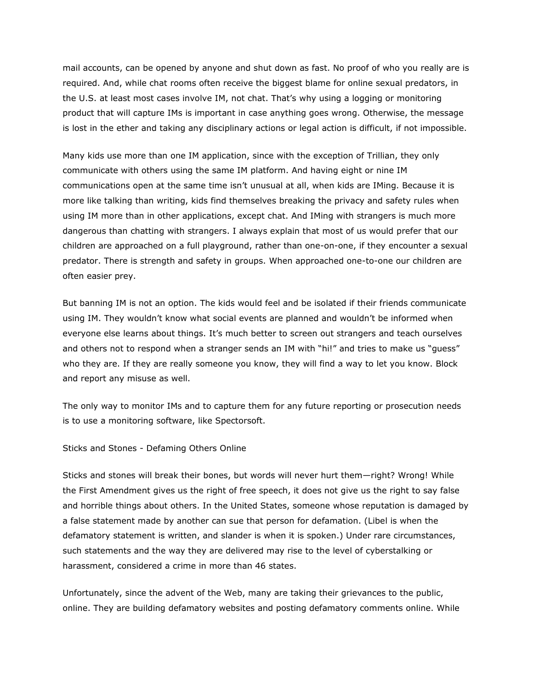mail accounts, can be opened by anyone and shut down as fast. No proof of who you really are is required. And, while chat rooms often receive the biggest blame for online sexual predators, in the U.S. at least most cases involve IM, not chat. That's why using a logging or monitoring product that will capture IMs is important in case anything goes wrong. Otherwise, the message is lost in the ether and taking any disciplinary actions or legal action is difficult, if not impossible.

Many kids use more than one IM application, since with the exception of Trillian, they only communicate with others using the same IM platform. And having eight or nine IM communications open at the same time isn't unusual at all, when kids are IMing. Because it is more like talking than writing, kids find themselves breaking the privacy and safety rules when using IM more than in other applications, except chat. And IMing with strangers is much more dangerous than chatting with strangers. I always explain that most of us would prefer that our children are approached on a full playground, rather than one-on-one, if they encounter a sexual predator. There is strength and safety in groups. When approached one-to-one our children are often easier prey.

But banning IM is not an option. The kids would feel and be isolated if their friends communicate using IM. They wouldn't know what social events are planned and wouldn't be informed when everyone else learns about things. It's much better to screen out strangers and teach ourselves and others not to respond when a stranger sends an IM with "hi!" and tries to make us "guess" who they are. If they are really someone you know, they will find a way to let you know. Block and report any misuse as well.

The only way to monitor IMs and to capture them for any future reporting or prosecution needs is to use a monitoring software, like Spectorsoft.

#### Sticks and Stones - Defaming Others Online

Sticks and stones will break their bones, but words will never hurt them—right? Wrong! While the First Amendment gives us the right of free speech, it does not give us the right to say false and horrible things about others. In the United States, someone whose reputation is damaged by a false statement made by another can sue that person for defamation. (Libel is when the defamatory statement is written, and slander is when it is spoken.) Under rare circumstances, such statements and the way they are delivered may rise to the level of cyberstalking or harassment, considered a crime in more than 46 states.

Unfortunately, since the advent of the Web, many are taking their grievances to the public, online. They are building defamatory websites and posting defamatory comments online. While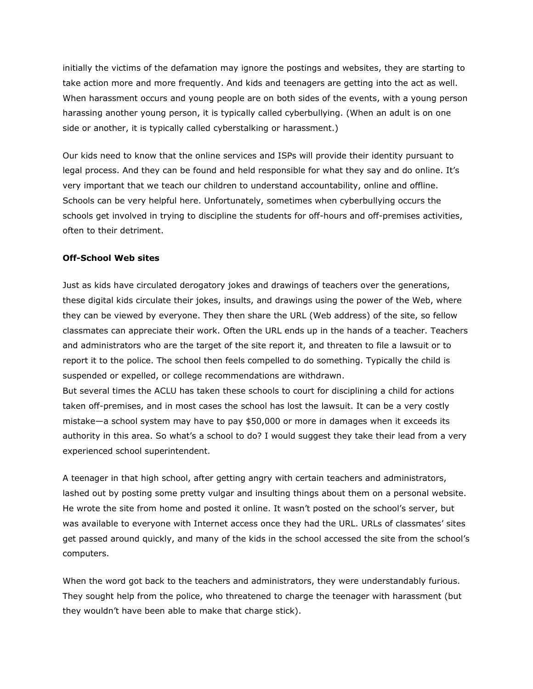initially the victims of the defamation may ignore the postings and websites, they are starting to take action more and more frequently. And kids and teenagers are getting into the act as well. When harassment occurs and young people are on both sides of the events, with a young person harassing another young person, it is typically called cyberbullying. (When an adult is on one side or another, it is typically called cyberstalking or harassment.)

Our kids need to know that the online services and ISPs will provide their identity pursuant to legal process. And they can be found and held responsible for what they say and do online. It's very important that we teach our children to understand accountability, online and offline. Schools can be very helpful here. Unfortunately, sometimes when cyberbullying occurs the schools get involved in trying to discipline the students for off-hours and off-premises activities, often to their detriment.

#### **Off-School Web sites**

Just as kids have circulated derogatory jokes and drawings of teachers over the generations, these digital kids circulate their jokes, insults, and drawings using the power of the Web, where they can be viewed by everyone. They then share the URL (Web address) of the site, so fellow classmates can appreciate their work. Often the URL ends up in the hands of a teacher. Teachers and administrators who are the target of the site report it, and threaten to file a lawsuit or to report it to the police. The school then feels compelled to do something. Typically the child is suspended or expelled, or college recommendations are withdrawn.

But several times the ACLU has taken these schools to court for disciplining a child for actions taken off-premises, and in most cases the school has lost the lawsuit. It can be a very costly mistake—a school system may have to pay \$50,000 or more in damages when it exceeds its authority in this area. So what's a school to do? I would suggest they take their lead from a very experienced school superintendent.

A teenager in that high school, after getting angry with certain teachers and administrators, lashed out by posting some pretty vulgar and insulting things about them on a personal website. He wrote the site from home and posted it online. It wasn't posted on the school's server, but was available to everyone with Internet access once they had the URL. URLs of classmates' sites get passed around quickly, and many of the kids in the school accessed the site from the school's computers.

When the word got back to the teachers and administrators, they were understandably furious. They sought help from the police, who threatened to charge the teenager with harassment (but they wouldn't have been able to make that charge stick).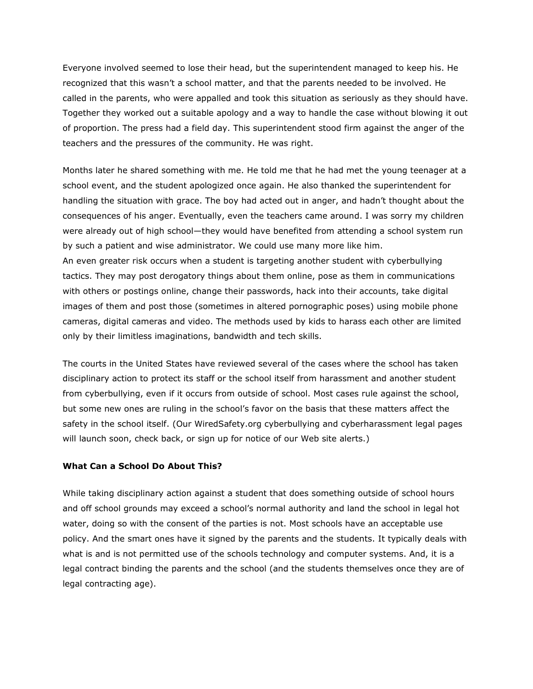Everyone involved seemed to lose their head, but the superintendent managed to keep his. He recognized that this wasn't a school matter, and that the parents needed to be involved. He called in the parents, who were appalled and took this situation as seriously as they should have. Together they worked out a suitable apology and a way to handle the case without blowing it out of proportion. The press had a field day. This superintendent stood firm against the anger of the teachers and the pressures of the community. He was right.

Months later he shared something with me. He told me that he had met the young teenager at a school event, and the student apologized once again. He also thanked the superintendent for handling the situation with grace. The boy had acted out in anger, and hadn't thought about the consequences of his anger. Eventually, even the teachers came around. I was sorry my children were already out of high school—they would have benefited from attending a school system run by such a patient and wise administrator. We could use many more like him. An even greater risk occurs when a student is targeting another student with cyberbullying tactics. They may post derogatory things about them online, pose as them in communications with others or postings online, change their passwords, hack into their accounts, take digital images of them and post those (sometimes in altered pornographic poses) using mobile phone cameras, digital cameras and video. The methods used by kids to harass each other are limited only by their limitless imaginations, bandwidth and tech skills.

The courts in the United States have reviewed several of the cases where the school has taken disciplinary action to protect its staff or the school itself from harassment and another student from cyberbullying, even if it occurs from outside of school. Most cases rule against the school, but some new ones are ruling in the school's favor on the basis that these matters affect the safety in the school itself. (Our WiredSafety.org cyberbullying and cyberharassment legal pages will launch soon, check back, or sign up for notice of our Web site alerts.)

#### **What Can a School Do About This?**

While taking disciplinary action against a student that does something outside of school hours and off school grounds may exceed a school's normal authority and land the school in legal hot water, doing so with the consent of the parties is not. Most schools have an acceptable use policy. And the smart ones have it signed by the parents and the students. It typically deals with what is and is not permitted use of the schools technology and computer systems. And, it is a legal contract binding the parents and the school (and the students themselves once they are of legal contracting age).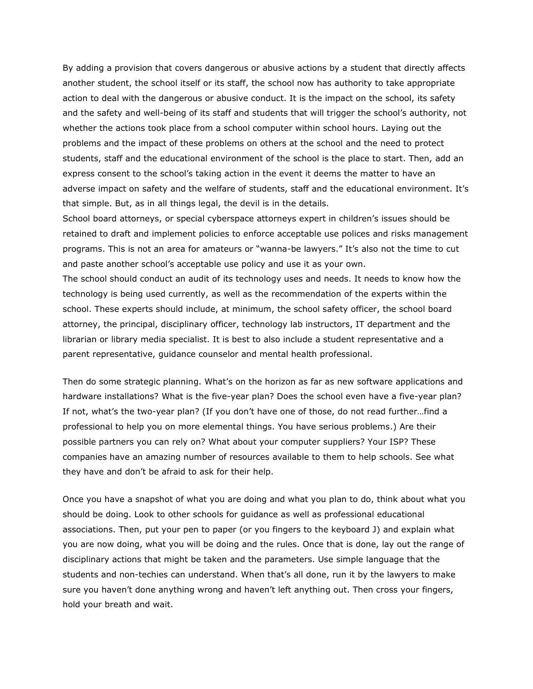By adding a provision that covers dangerous or abusive actions by a student that directly affects another student, the school itself or its staff, the school now has authority to take appropriate action to deal with the dangerous or abusive conduct. It is the impact on the school, its safety and the safety and well-being of its staff and students that will trigger the school's authority, not whether the actions took place from a school computer within school hours. Laying out the problems and the impact of these problems on others at the school and the need to protect students, staff and the educational environment of the school is the place to start. Then, add an express consent to the school's taking action in the event it deems the matter to have an adverse impact on safety and the welfare of students, staff and the educational environment. It's that simple. But, as in all things legal, the devil is in the details.

School board attorneys, or special cyberspace attorneys expert in children's issues should be retained to draft and implement policies to enforce acceptable use polices and risks management programs. This is not an area for amateurs or "wanna-be lawyers." It's also not the time to cut and paste another school's acceptable use policy and use it as your own.

The school should conduct an audit of its technology uses and needs. It needs to know how the technology is being used currently, as well as the recommendation of the experts within the school. These experts should include, at minimum, the school safety officer, the school board attorney, the principal, disciplinary officer, technology lab instructors, IT department and the librarian or library media specialist. It is best to also include a student representative and a parent representative, guidance counselor and mental health professional.

Then do some strategic planning. What's on the horizon as far as new software applications and hardware installations? What is the five-year plan? Does the school even have a five-year plan? If not, what's the two-year plan? (If you don't have one of those, do not read further…find a professional to help you on more elemental things. You have serious problems.) Are their possible partners you can rely on? What about your computer suppliers? Your ISP? These companies have an amazing number of resources available to them to help schools. See what they have and don't be afraid to ask for their help.

Once you have a snapshot of what you are doing and what you plan to do, think about what you should be doing. Look to other schools for guidance as well as professional educational associations. Then, put your pen to paper (or you fingers to the keyboard J) and explain what you are now doing, what you will be doing and the rules. Once that is done, lay out the range of disciplinary actions that might be taken and the parameters. Use simple language that the students and non-techies can understand. When that's all done, run it by the lawyers to make sure you haven't done anything wrong and haven't left anything out. Then cross your fingers, hold your breath and wait.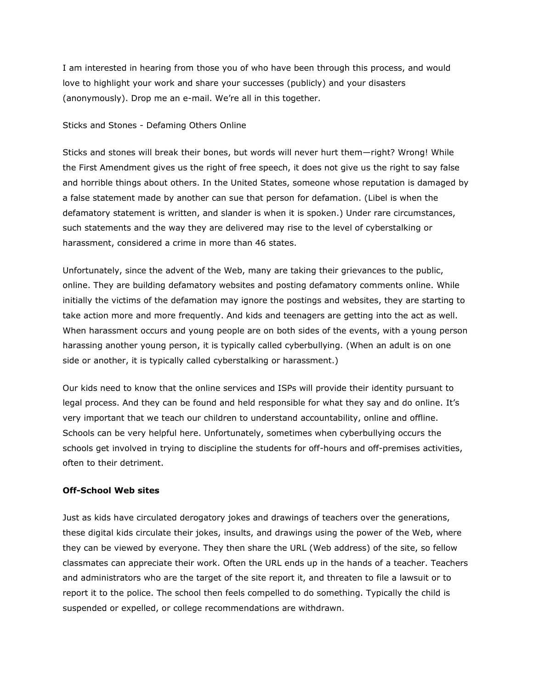I am interested in hearing from those you of who have been through this process, and would love to highlight your work and share your successes (publicly) and your disasters (anonymously). Drop me an e-mail. We're all in this together.

#### Sticks and Stones - Defaming Others Online

Sticks and stones will break their bones, but words will never hurt them—right? Wrong! While the First Amendment gives us the right of free speech, it does not give us the right to say false and horrible things about others. In the United States, someone whose reputation is damaged by a false statement made by another can sue that person for defamation. (Libel is when the defamatory statement is written, and slander is when it is spoken.) Under rare circumstances, such statements and the way they are delivered may rise to the level of cyberstalking or harassment, considered a crime in more than 46 states.

Unfortunately, since the advent of the Web, many are taking their grievances to the public, online. They are building defamatory websites and posting defamatory comments online. While initially the victims of the defamation may ignore the postings and websites, they are starting to take action more and more frequently. And kids and teenagers are getting into the act as well. When harassment occurs and young people are on both sides of the events, with a young person harassing another young person, it is typically called cyberbullying. (When an adult is on one side or another, it is typically called cyberstalking or harassment.)

Our kids need to know that the online services and ISPs will provide their identity pursuant to legal process. And they can be found and held responsible for what they say and do online. It's very important that we teach our children to understand accountability, online and offline. Schools can be very helpful here. Unfortunately, sometimes when cyberbullying occurs the schools get involved in trying to discipline the students for off-hours and off-premises activities, often to their detriment.

#### **Off-School Web sites**

Just as kids have circulated derogatory jokes and drawings of teachers over the generations, these digital kids circulate their jokes, insults, and drawings using the power of the Web, where they can be viewed by everyone. They then share the URL (Web address) of the site, so fellow classmates can appreciate their work. Often the URL ends up in the hands of a teacher. Teachers and administrators who are the target of the site report it, and threaten to file a lawsuit or to report it to the police. The school then feels compelled to do something. Typically the child is suspended or expelled, or college recommendations are withdrawn.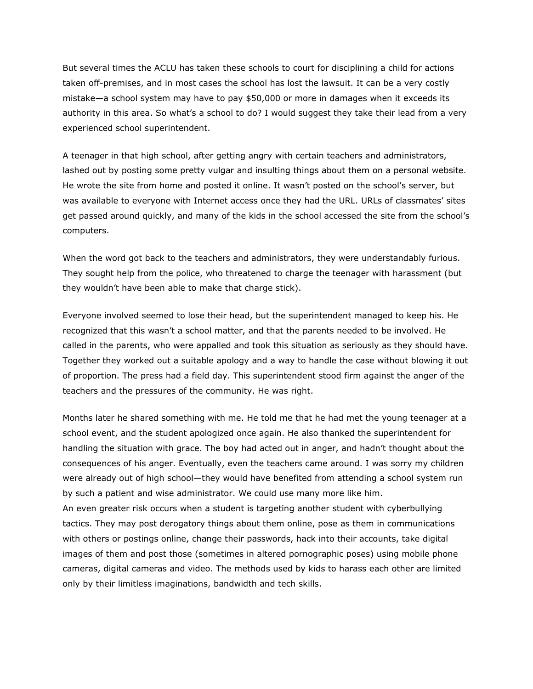But several times the ACLU has taken these schools to court for disciplining a child for actions taken off-premises, and in most cases the school has lost the lawsuit. It can be a very costly mistake—a school system may have to pay \$50,000 or more in damages when it exceeds its authority in this area. So what's a school to do? I would suggest they take their lead from a very experienced school superintendent.

A teenager in that high school, after getting angry with certain teachers and administrators, lashed out by posting some pretty vulgar and insulting things about them on a personal website. He wrote the site from home and posted it online. It wasn't posted on the school's server, but was available to everyone with Internet access once they had the URL. URLs of classmates' sites get passed around quickly, and many of the kids in the school accessed the site from the school's computers.

When the word got back to the teachers and administrators, they were understandably furious. They sought help from the police, who threatened to charge the teenager with harassment (but they wouldn't have been able to make that charge stick).

Everyone involved seemed to lose their head, but the superintendent managed to keep his. He recognized that this wasn't a school matter, and that the parents needed to be involved. He called in the parents, who were appalled and took this situation as seriously as they should have. Together they worked out a suitable apology and a way to handle the case without blowing it out of proportion. The press had a field day. This superintendent stood firm against the anger of the teachers and the pressures of the community. He was right.

Months later he shared something with me. He told me that he had met the young teenager at a school event, and the student apologized once again. He also thanked the superintendent for handling the situation with grace. The boy had acted out in anger, and hadn't thought about the consequences of his anger. Eventually, even the teachers came around. I was sorry my children were already out of high school—they would have benefited from attending a school system run by such a patient and wise administrator. We could use many more like him. An even greater risk occurs when a student is targeting another student with cyberbullying tactics. They may post derogatory things about them online, pose as them in communications with others or postings online, change their passwords, hack into their accounts, take digital images of them and post those (sometimes in altered pornographic poses) using mobile phone cameras, digital cameras and video. The methods used by kids to harass each other are limited only by their limitless imaginations, bandwidth and tech skills.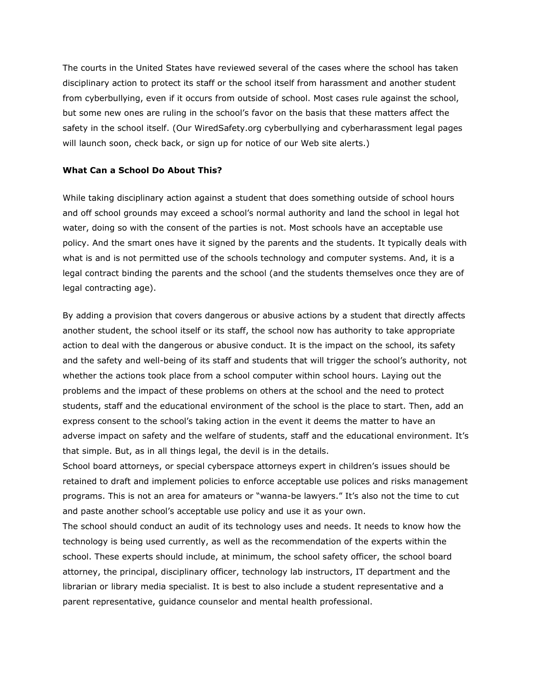The courts in the United States have reviewed several of the cases where the school has taken disciplinary action to protect its staff or the school itself from harassment and another student from cyberbullying, even if it occurs from outside of school. Most cases rule against the school, but some new ones are ruling in the school's favor on the basis that these matters affect the safety in the school itself. (Our WiredSafety.org cyberbullying and cyberharassment legal pages will launch soon, check back, or sign up for notice of our Web site alerts.)

#### **What Can a School Do About This?**

While taking disciplinary action against a student that does something outside of school hours and off school grounds may exceed a school's normal authority and land the school in legal hot water, doing so with the consent of the parties is not. Most schools have an acceptable use policy. And the smart ones have it signed by the parents and the students. It typically deals with what is and is not permitted use of the schools technology and computer systems. And, it is a legal contract binding the parents and the school (and the students themselves once they are of legal contracting age).

By adding a provision that covers dangerous or abusive actions by a student that directly affects another student, the school itself or its staff, the school now has authority to take appropriate action to deal with the dangerous or abusive conduct. It is the impact on the school, its safety and the safety and well-being of its staff and students that will trigger the school's authority, not whether the actions took place from a school computer within school hours. Laying out the problems and the impact of these problems on others at the school and the need to protect students, staff and the educational environment of the school is the place to start. Then, add an express consent to the school's taking action in the event it deems the matter to have an adverse impact on safety and the welfare of students, staff and the educational environment. It's that simple. But, as in all things legal, the devil is in the details.

School board attorneys, or special cyberspace attorneys expert in children's issues should be retained to draft and implement policies to enforce acceptable use polices and risks management programs. This is not an area for amateurs or "wanna-be lawyers." It's also not the time to cut and paste another school's acceptable use policy and use it as your own.

The school should conduct an audit of its technology uses and needs. It needs to know how the technology is being used currently, as well as the recommendation of the experts within the school. These experts should include, at minimum, the school safety officer, the school board attorney, the principal, disciplinary officer, technology lab instructors, IT department and the librarian or library media specialist. It is best to also include a student representative and a parent representative, guidance counselor and mental health professional.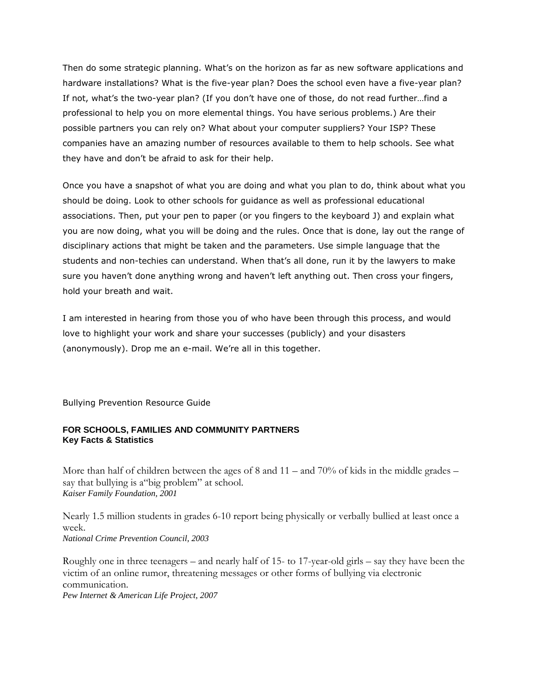Then do some strategic planning. What's on the horizon as far as new software applications and hardware installations? What is the five-year plan? Does the school even have a five-year plan? If not, what's the two-year plan? (If you don't have one of those, do not read further…find a professional to help you on more elemental things. You have serious problems.) Are their possible partners you can rely on? What about your computer suppliers? Your ISP? These companies have an amazing number of resources available to them to help schools. See what they have and don't be afraid to ask for their help.

Once you have a snapshot of what you are doing and what you plan to do, think about what you should be doing. Look to other schools for guidance as well as professional educational associations. Then, put your pen to paper (or you fingers to the keyboard J) and explain what you are now doing, what you will be doing and the rules. Once that is done, lay out the range of disciplinary actions that might be taken and the parameters. Use simple language that the students and non-techies can understand. When that's all done, run it by the lawyers to make sure you haven't done anything wrong and haven't left anything out. Then cross your fingers, hold your breath and wait.

I am interested in hearing from those you of who have been through this process, and would love to highlight your work and share your successes (publicly) and your disasters (anonymously). Drop me an e-mail. We're all in this together.

Bullying Prevention Resource Guide

## **FOR SCHOOLS, FAMILIES AND COMMUNITY PARTNERS Key Facts & Statistics**

More than half of children between the ages of 8 and  $11 -$  and  $70\%$  of kids in the middle grades  $$ say that bullying is a"big problem" at school. *Kaiser Family Foundation, 2001*

Nearly 1.5 million students in grades 6-10 report being physically or verbally bullied at least once a week. *National Crime Prevention Council, 2003*

Roughly one in three teenagers – and nearly half of 15- to 17-year-old girls – say they have been the victim of an online rumor, threatening messages or other forms of bullying via electronic communication.

*Pew Internet & American Life Project, 2007*